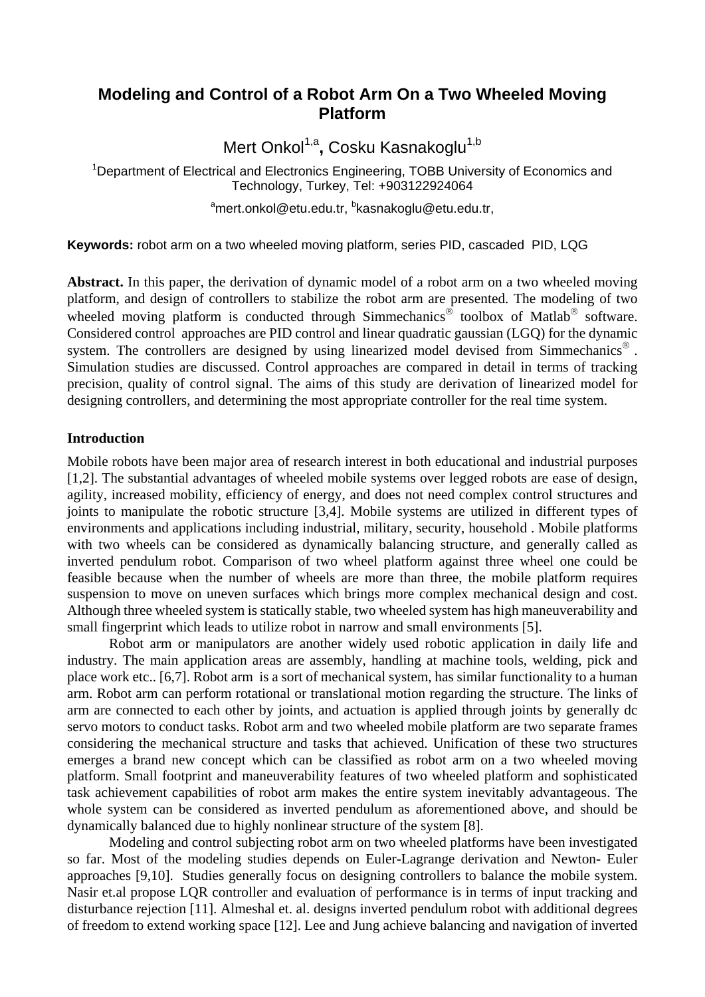# **Modeling and Control of a Robot Arm On a Two Wheeled Moving Platform**

Mert Onkol<sup>1,a</sup>, Cosku Kasnakoglu<sup>1,b</sup>

<sup>1</sup>Department of Electrical and Electronics Engineering, TOBB University of Economics and Technology, Turkey, Tel: +903122924064

<sup>a</sup>mert.onkol@etu.edu.tr, <sup>b</sup>kasnakoglu@etu.edu.tr,

**Keywords:** robot arm on a two wheeled moving platform, series PID, cascaded PID, LQG

**Abstract.** In this paper, the derivation of dynamic model of a robot arm on a two wheeled moving platform, and design of controllers to stabilize the robot arm are presented. The modeling of two wheeled moving platform is conducted through Simmechanics<sup>®</sup> toolbox of Matlab<sup>®</sup> software. Considered control approaches are PID control and linear quadratic gaussian (LGQ) for the dynamic system. The controllers are designed by using linearized model devised from Simmechanics<sup>®</sup>. Simulation studies are discussed. Control approaches are compared in detail in terms of tracking precision, quality of control signal. The aims of this study are derivation of linearized model for designing controllers, and determining the most appropriate controller for the real time system.

# **Introduction**

Mobile robots have been major area of research interest in both educational and industrial purposes [1,2]. The substantial advantages of wheeled mobile systems over legged robots are ease of design, agility, increased mobility, efficiency of energy, and does not need complex control structures and joints to manipulate the robotic structure [3,4]. Mobile systems are utilized in different types of environments and applications including industrial, military, security, household . Mobile platforms with two wheels can be considered as dynamically balancing structure, and generally called as inverted pendulum robot. Comparison of two wheel platform against three wheel one could be feasible because when the number of wheels are more than three, the mobile platform requires suspension to move on uneven surfaces which brings more complex mechanical design and cost. Although three wheeled system is statically stable, two wheeled system has high maneuverability and small fingerprint which leads to utilize robot in narrow and small environments [5].

Robot arm or manipulators are another widely used robotic application in daily life and industry. The main application areas are assembly, handling at machine tools, welding, pick and place work etc.. [6,7]. Robot arm is a sort of mechanical system, has similar functionality to a human arm. Robot arm can perform rotational or translational motion regarding the structure. The links of arm are connected to each other by joints, and actuation is applied through joints by generally dc servo motors to conduct tasks. Robot arm and two wheeled mobile platform are two separate frames considering the mechanical structure and tasks that achieved. Unification of these two structures emerges a brand new concept which can be classified as robot arm on a two wheeled moving platform. Small footprint and maneuverability features of two wheeled platform and sophisticated task achievement capabilities of robot arm makes the entire system inevitably advantageous. The whole system can be considered as inverted pendulum as aforementioned above, and should be dynamically balanced due to highly nonlinear structure of the system [8].

Modeling and control subjecting robot arm on two wheeled platforms have been investigated so far. Most of the modeling studies depends on Euler-Lagrange derivation and Newton- Euler approaches [9,10]. Studies generally focus on designing controllers to balance the mobile system. Nasir et.al propose LQR controller and evaluation of performance is in terms of input tracking and disturbance rejection [11]. Almeshal et. al. designs inverted pendulum robot with additional degrees of freedom to extend working space [12]. Lee and Jung achieve balancing and navigation of inverted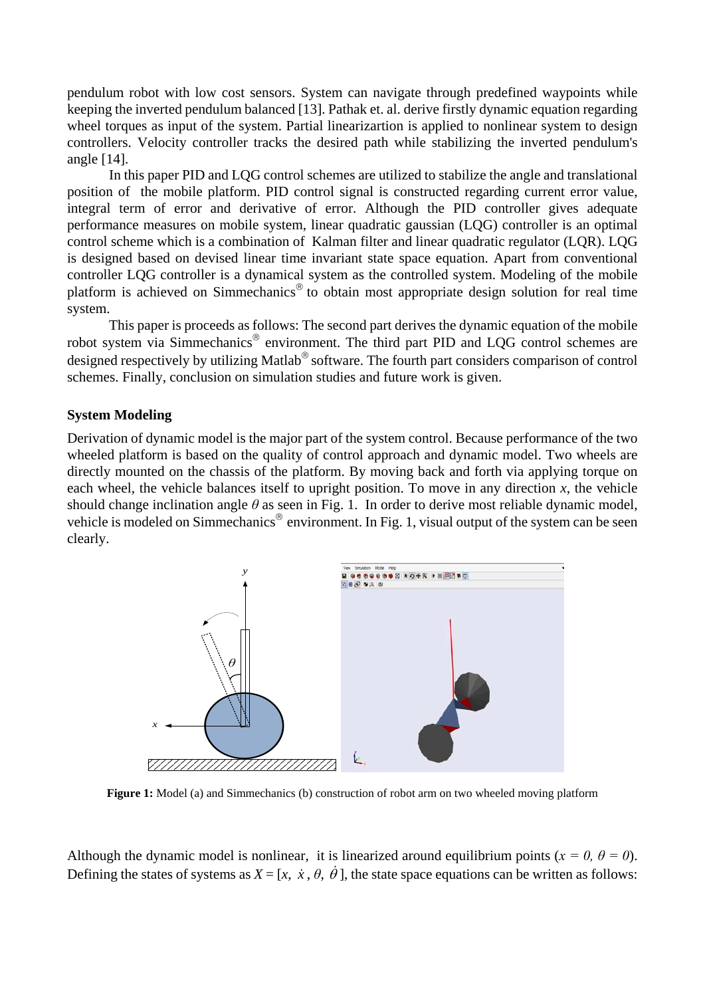pendulum robot with low cost sensors. System can navigate through predefined waypoints while keeping the inverted pendulum balanced [13]. Pathak et. al. derive firstly dynamic equation regarding wheel torques as input of the system. Partial linearizartion is applied to nonlinear system to design controllers. Velocity controller tracks the desired path while stabilizing the inverted pendulum's angle [14].

In this paper PID and LQG control schemes are utilized to stabilize the angle and translational position of the mobile platform. PID control signal is constructed regarding current error value, integral term of error and derivative of error. Although the PID controller gives adequate performance measures on mobile system, linear quadratic gaussian (LQG) controller is an optimal control scheme which is a combination of Kalman filter and linear quadratic regulator (LQR). LQG is designed based on devised linear time invariant state space equation. Apart from conventional controller LQG controller is a dynamical system as the controlled system. Modeling of the mobile platform is achieved on Simmechanics<sup>®</sup> to obtain most appropriate design solution for real time system.

This paper is proceeds as follows: The second part derives the dynamic equation of the mobile robot system via Simmechanics<sup>®</sup> environment. The third part PID and LQG control schemes are designed respectively by utilizing Matlab  $\mathscr{B}$  software. The fourth part considers comparison of control schemes. Finally, conclusion on simulation studies and future work is given.

# **System Modeling**

Derivation of dynamic model is the major part of the system control. Because performance of the two wheeled platform is based on the quality of control approach and dynamic model. Two wheels are directly mounted on the chassis of the platform. By moving back and forth via applying torque on each wheel, the vehicle balances itself to upright position. To move in any direction *x*, the vehicle should change inclination angle *θ* as seen in Fig. 1. In order to derive most reliable dynamic model, vehicle is modeled on Simmechanics<sup>®</sup> environment. In Fig. 1, visual output of the system can be seen clearly.



**Figure 1:** Model (a) and Simmechanics (b) construction of robot arm on two wheeled moving platform

Although the dynamic model is nonlinear, it is linearized around equilibrium points ( $x = 0$ ,  $\theta = 0$ ). Defining the states of systems as  $X = [x, \dot{x}, \theta, \dot{\theta}]$ , the state space equations can be written as follows: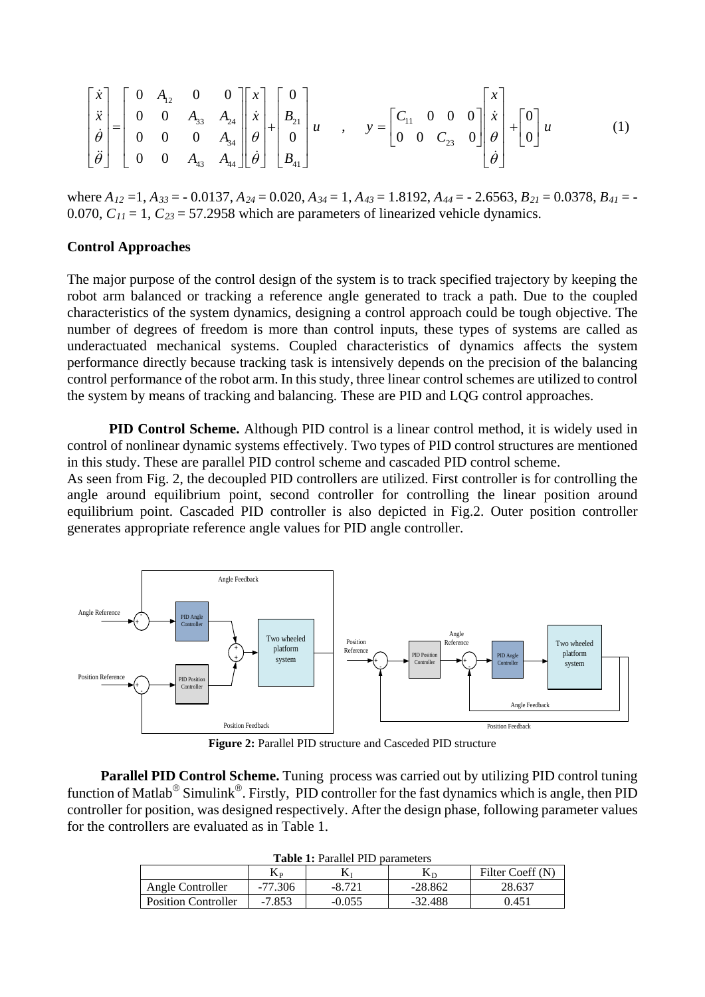$$
\begin{bmatrix} \dot{x} \\ \ddot{x} \\ \dot{\theta} \\ \ddot{\theta} \end{bmatrix} = \begin{bmatrix} 0 & A_{12} & 0 & 0 \\ 0 & 0 & A_{33} & A_{24} \\ 0 & 0 & 0 & A_{34} \\ 0 & 0 & A_{43} & A_{44} \end{bmatrix} \begin{bmatrix} x \\ \dot{x} \\ \theta \\ \dot{\theta} \end{bmatrix} + \begin{bmatrix} 0 \\ B_{21} \\ 0 \\ B_{41} \end{bmatrix} u , y = \begin{bmatrix} C_{11} & 0 & 0 & 0 \\ 0 & 0 & C_{23} & 0 \end{bmatrix} \begin{bmatrix} x \\ \dot{x} \\ \theta \\ \dot{\theta} \end{bmatrix} + \begin{bmatrix} 0 \\ 0 \end{bmatrix} u
$$
 (1)

where  $A_{12} = 1$ ,  $A_{33} = -0.0137$ ,  $A_{24} = 0.020$ ,  $A_{34} = 1$ ,  $A_{43} = 1.8192$ ,  $A_{44} = -2.6563$ ,  $B_{21} = 0.0378$ ,  $B_{41} = -2.6563$ 0.070,  $C_{11} = 1$ ,  $C_{23} = 57.2958$  which are parameters of linearized vehicle dynamics.

#### **Control Approaches**

The major purpose of the control design of the system is to track specified trajectory by keeping the robot arm balanced or tracking a reference angle generated to track a path. Due to the coupled characteristics of the system dynamics, designing a control approach could be tough objective. The number of degrees of freedom is more than control inputs, these types of systems are called as underactuated mechanical systems. Coupled characteristics of dynamics affects the system performance directly because tracking task is intensively depends on the precision of the balancing control performance of the robot arm. In this study, three linear control schemes are utilized to control the system by means of tracking and balancing. These are PID and LQG control approaches.

**PID Control Scheme.** Although PID control is a linear control method, it is widely used in control of nonlinear dynamic systems effectively. Two types of PID control structures are mentioned in this study. These are parallel PID control scheme and cascaded PID control scheme.

As seen from Fig. 2, the decoupled PID controllers are utilized. First controller is for controlling the angle around equilibrium point, second controller for controlling the linear position around equilibrium point. Cascaded PID controller is also depicted in Fig.2. Outer position controller generates appropriate reference angle values for PID angle controller.



Figure 2: Parallel PID structure and Casceded PID structure

**Parallel PID Control Scheme.** Tuning process was carried out by utilizing PID control tuning function of Matlab<sup>®</sup> Simulink<sup>®</sup>. Firstly, PID controller for the fast dynamics which is angle, then PID controller for position, was designed respectively. After the design phase, following parameter values for the controllers are evaluated as in Table 1.

| <b>rable 1.</b> I alance i iD barameters |           |          |           |                  |  |  |
|------------------------------------------|-----------|----------|-----------|------------------|--|--|
|                                          | Dр        |          | Λŋ        | Filter Coeff (N) |  |  |
| Angle Controller                         | $-77.306$ | $-8.721$ | $-28.862$ | 28.637           |  |  |
| <b>Position Controller</b>               | $-7.853$  | $-0.055$ | $-32.488$ | 0.451            |  |  |

**Table 1:** Parallel PID parameters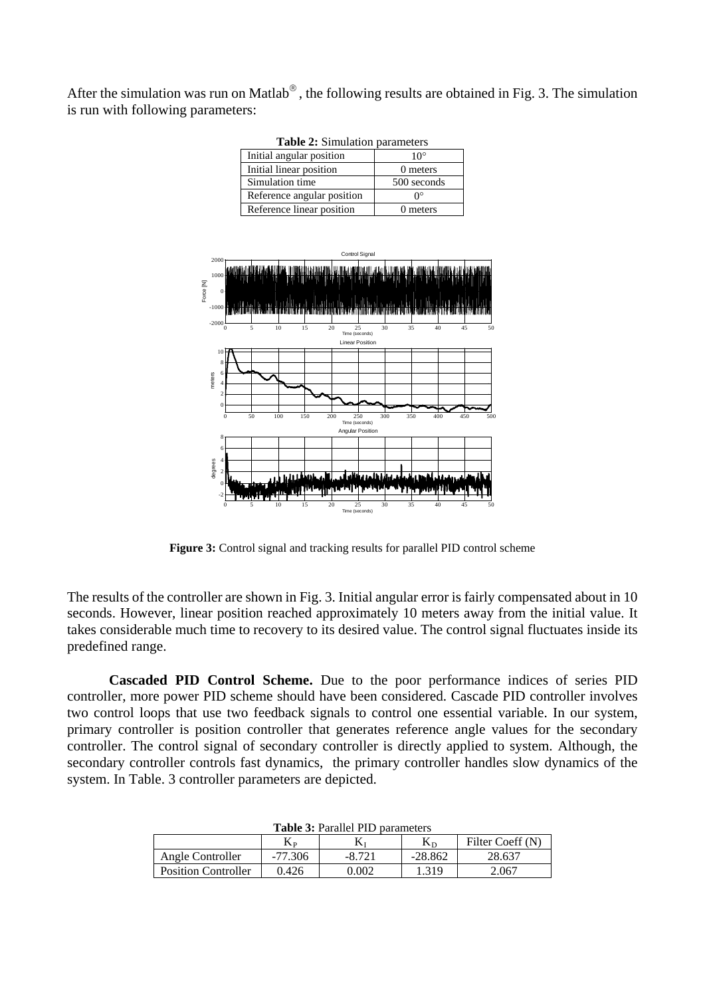After the simulation was run on Matlab<sup>®</sup>, the following results are obtained in Fig. 3. The simulation is run with following parameters:

| <b>Table 2:</b> Simulation parameters |              |  |  |  |
|---------------------------------------|--------------|--|--|--|
| Initial angular position              | $10^{\circ}$ |  |  |  |
| Initial linear position               | 0 meters     |  |  |  |
| Simulation time                       | 500 seconds  |  |  |  |
| Reference angular position            | ∩°           |  |  |  |
| Reference linear position             | 0 meters     |  |  |  |

**Table 2:** Simulation parameters



**Figure 3:** Control signal and tracking results for parallel PID control scheme

The results of the controller are shown in Fig. 3. Initial angular error is fairly compensated about in 10 seconds. However, linear position reached approximately 10 meters away from the initial value. It takes considerable much time to recovery to its desired value. The control signal fluctuates inside its predefined range.

**Cascaded PID Control Scheme.** Due to the poor performance indices of series PID controller, more power PID scheme should have been considered. Cascade PID controller involves two control loops that use two feedback signals to control one essential variable. In our system, primary controller is position controller that generates reference angle values for the secondary controller. The control signal of secondary controller is directly applied to system. Although, the secondary controller controls fast dynamics, the primary controller handles slow dynamics of the system. In Table. 3 controller parameters are depicted.

| <b>Table 3.</b> Falaffer FID barantelets |           |        |           |                  |  |  |
|------------------------------------------|-----------|--------|-----------|------------------|--|--|
|                                          | DР        |        | $K_{D}$   | Filter Coeff (N) |  |  |
| Angle Controller                         | $-77.306$ | -8.721 | $-28.862$ | 28.637           |  |  |
| <b>Position Controller</b>               | 0.426     | 0.002  | 1.319     | 2.067            |  |  |

**Table 3:** Parallel PID parameters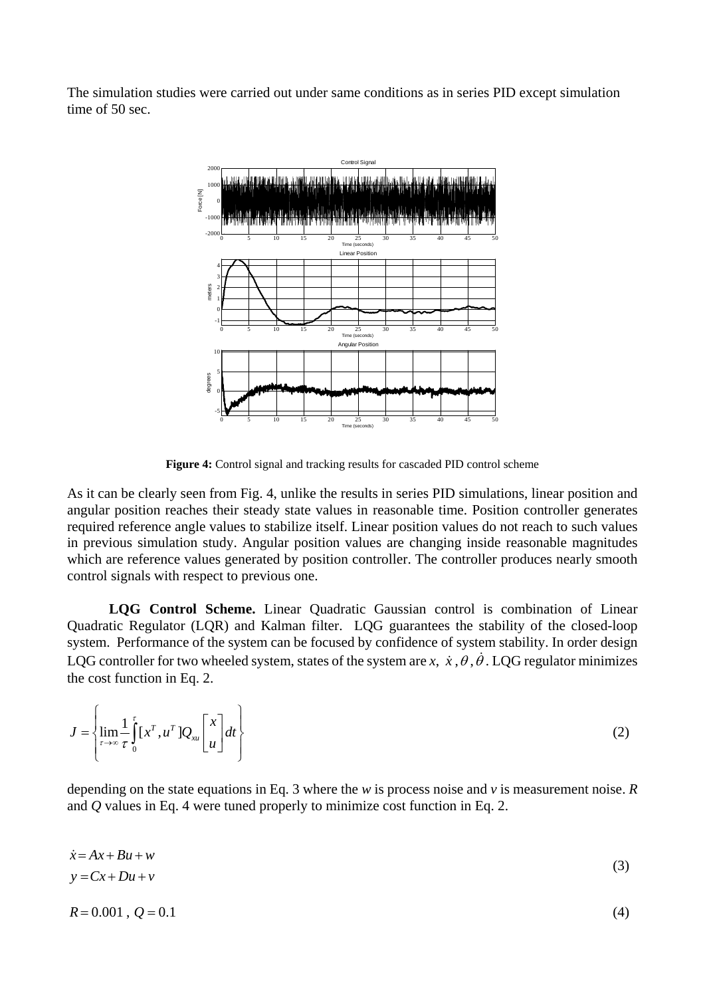The simulation studies were carried out under same conditions as in series PID except simulation time of 50 sec.



Figure 4: Control signal and tracking results for cascaded PID control scheme

As it can be clearly seen from Fig. 4, unlike the results in series PID simulations, linear position and angular position reaches their steady state values in reasonable time. Position controller generates required reference angle values to stabilize itself. Linear position values do not reach to such values in previous simulation study. Angular position values are changing inside reasonable magnitudes which are reference values generated by position controller. The controller produces nearly smooth control signals with respect to previous one.

**LQG Control Scheme.** Linear Quadratic Gaussian control is combination of Linear Quadratic Regulator (LQR) and Kalman filter. LQG guarantees the stability of the closed-loop system. Performance of the system can be focused by confidence of system stability. In order design LQG controller for two wheeled system, states of the system are  $x, \dot{x}, \theta, \dot{\theta}$ . LQG regulator minimizes the cost function in Eq. 2.

$$
J = \left\{ \lim_{\tau \to \infty} \frac{1}{\tau} \int_{0}^{\tau} [x^T, u^T] Q_{xu} \left[ \begin{array}{c} x \\ u \end{array} \right] dt \right\}
$$
 (2)

depending on the state equations in Eq. 3 where the *w* is process noise and *v* is measurement noise. *R* and *Q* values in Eq. 4 were tuned properly to minimize cost function in Eq. 2.

$$
\begin{aligned}\n\dot{x} &= Ax + Bu + w \\
y &= Cx + Du + v\n\end{aligned} \tag{3}
$$

$$
R = 0.001 \, , \, Q = 0.1 \tag{4}
$$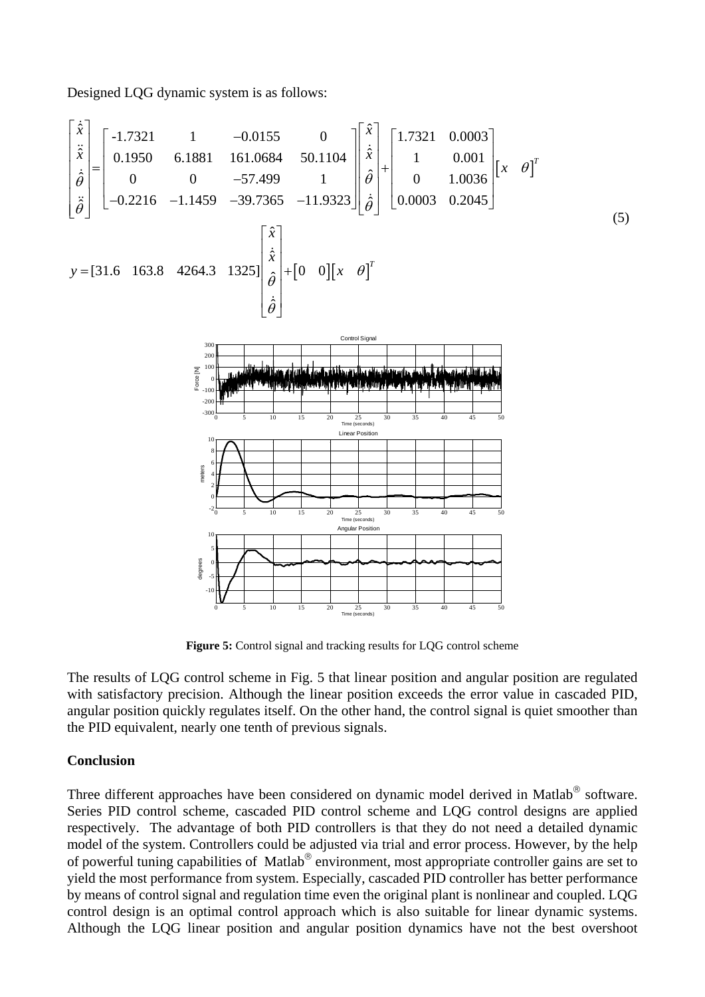Designed LQG dynamic system is as follows:

$$
\begin{bmatrix} \dot{\hat{x}} \\ \ddot{\hat{x}} \\ \dot{\hat{\theta}} \\ \dot{\hat{\theta}} \end{bmatrix} = \begin{bmatrix} -1.7321 & 1 & -0.0155 & 0 \\ 0.1950 & 6.1881 & 161.0684 & 50.1104 \\ 0 & 0 & -57.499 & 1 \\ -0.2216 & -1.1459 & -39.7365 & -11.9323 \end{bmatrix} \begin{bmatrix} \dot{x} \\ \dot{\hat{\theta}} \\ \dot{\hat{\theta}} \\ \dot{\hat{\theta}} \end{bmatrix} + \begin{bmatrix} 1.7321 & 0.0003 \\ 1 & 0.001 \\ 0.0003 & 0.2045 \end{bmatrix} \begin{bmatrix} x \\ 0 \end{bmatrix}^{T}
$$
\n
$$
y = \begin{bmatrix} 31.6 & 163.8 & 4264.3 & 1325 \end{bmatrix} \begin{bmatrix} \dot{x} \\ \dot{x} \\ \dot{\hat{\theta}} \\ \dot{\hat{\theta}} \end{bmatrix} + \begin{bmatrix} 0 & 0 \end{bmatrix} \begin{bmatrix} x \\ 0 \end{bmatrix}^{T}
$$
\n
$$
\begin{bmatrix} \cos(\theta x) \sin(\theta y) \\ \sin(\theta y) \cos(\theta y) \sin(\theta y) \sin(\theta y) \sin(\theta y) \sin(\theta y) \sin(\theta y) \sin(\theta y) \sin(\theta y) \sin(\theta y) \sin(\theta y) \sin(\theta y) \sin(\theta y) \sin(\theta y) \sin(\theta y) \sin(\theta y) \sin(\theta y) \sin(\theta y) \sin(\theta y) \sin(\theta y) \sin(\theta y) \sin(\theta y) \sin(\theta y) \sin(\theta y) \sin(\theta y) \sin(\theta y) \sin(\theta y) \sin(\theta y) \sin(\theta y) \sin(\theta y) \sin(\theta y) \sin(\theta y) \sin(\theta y) \sin(\theta y) \sin(\theta y) \sin(\theta y) \sin(\theta y) \sin(\theta y) \sin(\theta y) \sin(\theta y) \sin(\theta y) \sin(\theta y) \sin(\theta y) \sin(\theta y) \sin(\theta y) \sin(\theta y) \sin(\theta y) \sin(\theta y) \sin(\theta y) \sin(\theta y) \sin(\theta y) \sin(\theta y) \sin(\theta y) \sin(\theta y) \sin(\theta y) \sin(\theta y
$$

Figure 5: Control signal and tracking results for LQG control scheme

The results of LQG control scheme in Fig. 5 that linear position and angular position are regulated with satisfactory precision. Although the linear position exceeds the error value in cascaded PID, angular position quickly regulates itself. On the other hand, the control signal is quiet smoother than the PID equivalent, nearly one tenth of previous signals.

# **Conclusion**

Three different approaches have been considered on dynamic model derived in Matlab $^{\circledR}$  software. Series PID control scheme, cascaded PID control scheme and LQG control designs are applied respectively. The advantage of both PID controllers is that they do not need a detailed dynamic model of the system. Controllers could be adjusted via trial and error process. However, by the help of powerful tuning capabilities of Matlab<sup>®</sup> environment, most appropriate controller gains are set to yield the most performance from system. Especially, cascaded PID controller has better performance by means of control signal and regulation time even the original plant is nonlinear and coupled. LQG control design is an optimal control approach which is also suitable for linear dynamic systems. Although the LQG linear position and angular position dynamics have not the best overshoot